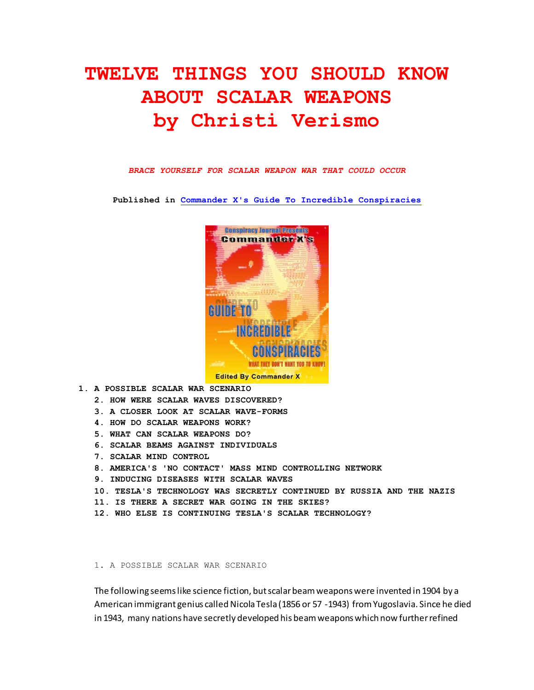# **TWELVE THINGS YOU SHOULD KNOW ABOUT SCALAR WEAPONS by Christi Verismo**

#### *BRACE YOURSELF FOR SCALAR WEAPON WAR THAT COULD OCCUR*

**Published in [Commander X's Guide To Incredible Conspiracies](http://www.amazon.com/Commander-Xs-Guide-Incredible-Conspiricies/dp/1892062992)**



- **1. A POSSIBLE SCALAR WAR SCENARIO**
	- **2. HOW WERE SCALAR WAVES DISCOVERED?**
	- **3. A CLOSER LOOK AT SCALAR WAVE-FORMS**
	- **4. HOW DO SCALAR WEAPONS WORK?**
	- **5. WHAT CAN SCALAR WEAPONS DO?**
	- **6. SCALAR BEAMS AGAINST INDIVIDUALS**
	- **7. SCALAR MIND CONTROL**
	- **8. AMERICA'S 'NO CONTACT' MASS MIND CONTROLLING NETWORK**
	- **9. INDUCING DISEASES WITH SCALAR WAVES**
	- **10. TESLA'S TECHNOLOGY WAS SECRETLY CONTINUED BY RUSSIA AND THE NAZIS**
	- **11. IS THERE A SECRET WAR GOING IN THE SKIES?**
	- **12. WHO ELSE IS CONTINUING TESLA'S SCALAR TECHNOLOGY?**

#### 1. A POSSIBLE SCALAR WAR SCENARIO

The following seems like science fiction, but scalar beam weapons were invented in 1904 by a American immigrant genius called Nicola Tesla (1856 or 57 -1943) from Yugoslavia. Since he died in 1943, many nations have secretly developed his beam weapons which now further refined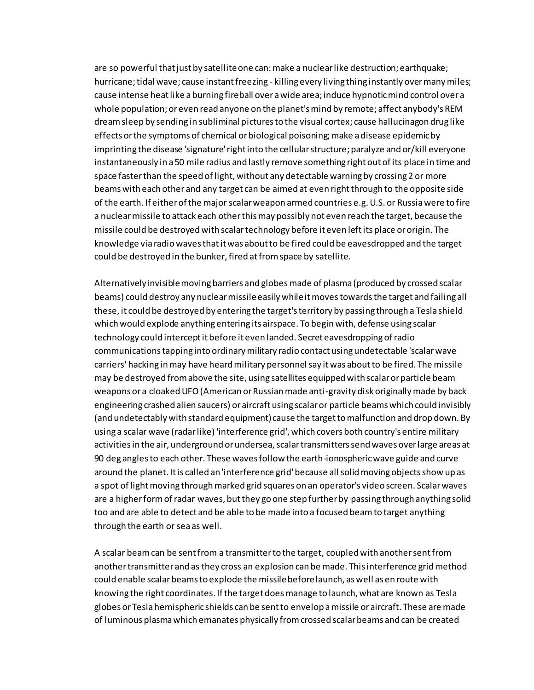are so powerful that just by satellite one can: make a nuclear like destruction; earthquake; hurricane; tidal wave; cause instant freezing - killing every living thing instantly over many miles; cause intense heat like a burning fireball over a wide area; induce hypnotic mind control over a whole population; or even read anyone on the planet's mind by remote; affect anybody's REM dream sleep by sending in subliminal pictures to the visual cortex; cause hallucinagon drug like effects or the symptoms of chemical or biological poisoning; make a disease epidemic by imprinting the disease 'signature' right into the cellular structure; paralyze and or/kill everyone instantaneously in a 50 mile radius and lastly remove something right out of its place in time and space faster than the speed of light, without any detectable warning by crossing 2 or more beams with each other and any target can be aimed at even right through to the opposite side of the earth. If either of the major scalar weapon armed countries e.g. U.S. or Russia were to fire a nuclear missile to attack each other this may possibly not even reach the target, because the missile could be destroyed with scalar technology before it even left its place or origin. The knowledge via radio waves that it was about to be fired could be eavesdropped and the target could be destroyed in the bunker, fired at from space by satellite.

Alternatively invisible moving barriers and globes made of plasma (produced by crossed scalar beams) could destroy any nuclear missile easily while it moves towards the target and failing all these, it could be destroyed by entering the target's territory by passing through a Tesla shield which would explode anything entering its airspace. To begin with, defense using scalar technology could intercept it before it even landed. Secret eavesdropping of radio communications tapping into ordinary military radio contact using undetectable 'scalar wave carriers' hacking in may have heard military personnel say it was about to be fired. The missile may be destroyed from above the site, using satellites equipped with scalar or particle beam weapons or a cloaked UFO (American or Russian made anti-gravity disk originally made by back engineering crashed alien saucers) or aircraft using scalar or particle beams which could invisibly (and undetectably with standard equipment) cause the target to malfunction and drop down. By using a scalar wave (radar like) 'interference grid', which covers both country's entire military activities in the air, underground or undersea, scalar transmitters send waves over large areas at 90 deg angles to each other. These waves follow the earth-ionospheric wave guide and curve around the planet. It is called an 'interference grid' because all solid moving objects show up as a spot of light moving through marked grid squares on an operator's video screen. Scalar waves are a higher form of radar waves, but they go one step further by passing through anything solid too and are able to detect and be able to be made into a focused beam to target anything through the earth or sea as well.

A scalar beam can be sent from a transmitter to the target, coupled with another sent from another transmitter and as they cross an explosion can be made. This interference grid method could enable scalar beams to explode the missile before launch, as well as en route with knowing the right coordinates. If the target does manage to launch, what are known as Tesla globes or Tesla hemispheric shields can be sent to envelop a missile or aircraft. These are made of luminous plasma which emanates physically from crossed scalar beams and can be created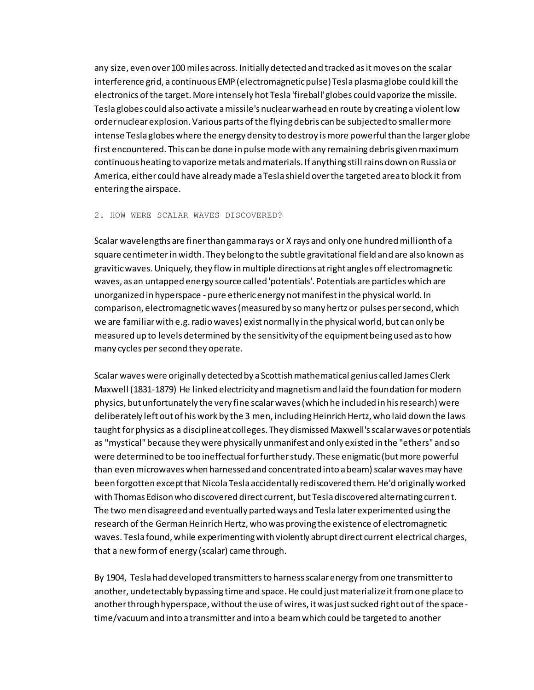any size, even over 100 miles across. Initially detected and tracked as it moves on the scalar interference grid, a continuous EMP (electromagnetic pulse) Tesla plasma globe could kill the electronics of the target. More intensely hot Tesla 'fireball' globes could vaporize the missile. Tesla globes could also activate a missile's nuclear warhead en route by creating a violent low order nuclear explosion. Various parts of the flying debris can be subjected to smaller more intense Tesla globes where the energy density to destroy is more powerful than the larger globe first encountered. This can be done in pulse mode with any remaining debris given maximum continuous heating to vaporize metals and materials. If anything still rains down on Russia or America, either could have already made a Tesla shield over the targeted area to block it from entering the airspace.

#### 2. HOW WERE SCALAR WAVES DISCOVERED?

Scalar wavelengths are finer than gamma rays or X rays and only one hundred millionth of a square centimeter in width. They belong to the subtle gravitational field and are also known as gravitic waves. Uniquely, they flow in multiple directions at right angles off electromagnetic waves, as an untapped energy source called 'potentials'. Potentials are particles which are unorganized in hyperspace - pure etheric energy not manifest in the physical world. In comparison, electromagnetic waves (measured by so many hertz or pulses per second, which we are familiar with e.g. radio waves) exist normally in the physical world, but can only be measured up to levels determined by the sensitivity of the equipment being used as to how many cycles per second they operate.

Scalar waves were originally detected by a Scottish mathematical genius called James Clerk Maxwell (1831-1879) He linked electricity and magnetism and laid the foundation for modern physics, but unfortunately the very fine scalar waves (which he included in his research) were deliberately left out of his work by the 3 men, including Heinrich Hertz, who laid down the laws taught for physics as a discipline at colleges. They dismissed Maxwell's scalar waves or potentials as "mystical" because they were physically unmanifest and only existed in the "ethers" and so were determined to be too ineffectual for further study. These enigmatic (but more powerful than even microwaves when harnessed and concentrated into a beam) scalar waves may have been forgotten except that Nicola Tesla accidentally rediscovered them. He'd originally worked with Thomas Edison who discovered direct current, but Tesla discovered alternating current. The two men disagreed and eventually parted ways and Tesla later experimented using the research of the German Heinrich Hertz, who was proving the existence of electromagnetic waves. Tesla found, while experimenting with violently abrupt direct current electrical charges, that a new form of energy (scalar) came through.

By 1904, Tesla had developed transmitters to harness scalar energy from one transmitter to another, undetectably bypassing time and space. He could just materialize it from one place to another through hyperspace, without the use of wires, it was just sucked right out of the space time/vacuum and into a transmitter and into a beam which could be targeted to another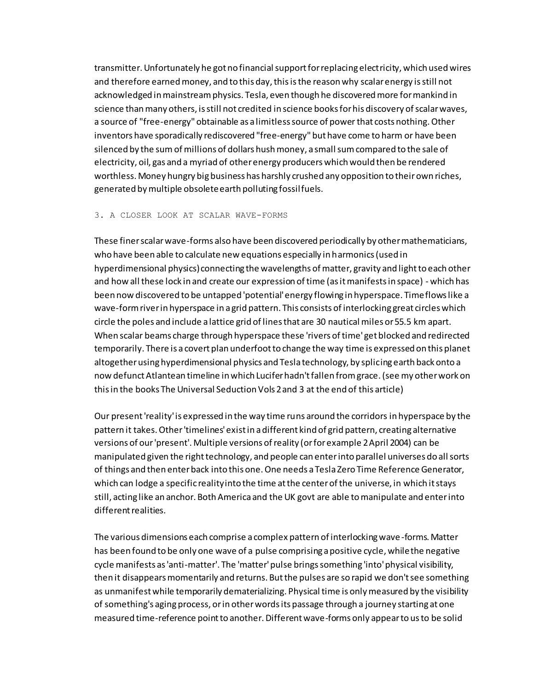transmitter. Unfortunately he got no financial support for replacing electricity, which used wires and therefore earned money, and to this day, this is the reason why scalar energy is still not acknowledged in mainstream physics. Tesla, even though he discovered more for mankind in science than many others, is still not credited in science books for his discovery of scalar waves, a source of "free-energy" obtainable as a limitless source of powerthat costs nothing. Other inventors have sporadically rediscovered "free-energy" but have come to harm or have been silenced by the sum of millions of dollars hush money, a small sum compared to the sale of electricity, oil, gas and a myriad of other energy producers which would then be rendered worthless. Money hungry big business has harshly crushed any opposition to their own riches, generated by multiple obsolete earth polluting fossil fuels.

## 3. A CLOSER LOOK AT SCALAR WAVE-FORMS

These finer scalar wave-forms also have been discovered periodically by other mathematicians, who have been able to calculate new equations especially in harmonics (used in hyperdimensional physics) connecting the wavelengths of matter, gravity and light to each other and how all these lock in and create our expression of time (as it manifests in space) - which has been now discovered to be untapped 'potential' energy flowing in hyperspace. Time flows like a wave-form river in hyperspace in a grid pattern. This consists of interlocking great circles which circle the poles and include a lattice grid of lines that are 30 nautical miles or 55.5 km apart. When scalar beams charge through hyperspace these 'rivers of time' get blocked and redirected temporarily. There is a covert plan underfoot to change the way time is expressed on this planet altogether using hyperdimensional physics and Tesla technology, by splicing earth back onto a now defunct Atlantean timeline in which Lucifer hadn't fallen from grace. (see my other work on this in the books The Universal Seduction Vols 2 and 3 at the end of this article)

Our present 'reality' is expressed in the way time runs around the corridors in hyperspace by the pattern it takes. Other 'timelines' exist in a different kind of grid pattern, creating alternative versions of our 'present'. Multiple versions of reality (or for example 2 April 2004) can be manipulated given the right technology, and people can enter into parallel universes do all sorts of things and then enter back into this one. One needs a Tesla Zero Time Reference Generator, which can lodge a specific reality into the time at the center of the universe, in which it stays still, acting like an anchor. Both America and the UK govt are able to manipulate and enter into different realities.

The various dimensions each comprise a complex pattern of interlocking wave-forms. Matter has been found to be only one wave of a pulse comprising a positive cycle, while the negative cycle manifests as 'anti-matter'. The 'matter' pulse brings something 'into' physical visibility, then it disappears momentarily and returns. But the pulses are so rapid we don't see something as unmanifest while temporarily dematerializing. Physical time is only measured by the visibility of something's aging process, or in other words its passage through a journey starting at one measured time-reference point to another. Different wave-forms only appear to us to be solid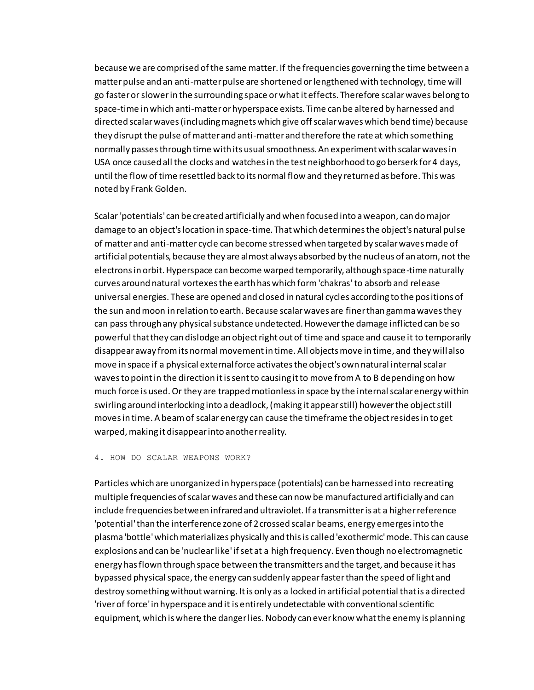because we are comprised of the same matter. If the frequencies governing the time between a matter pulse and an anti-matter pulse are shortened or lengthened with technology, time will go faster or slower in the surrounding space or what it effects. Therefore scalar waves belong to space-time in which anti-matter or hyperspace exists. Time can be altered by harnessed and directed scalar waves (including magnets which give off scalar waves which bend time) because they disrupt the pulse of matter and anti-matter and therefore the rate at which something normally passes through time with its usual smoothness. An experiment with scalar waves in USA once caused all the clocks and watches in the test neighborhood to go berserk for 4 days, until the flow of time resettled back to its normal flow and they returned as before. This was noted by Frank Golden.

Scalar 'potentials' can be created artificially and when focused into a weapon, can do major damage to an object's location in space-time. That which determines the object's natural pulse of matter and anti-matter cycle can become stressed when targeted by scalar waves made of artificial potentials, because they are almost always absorbed by the nucleus of an atom, not the electrons in orbit. Hyperspace can become warped temporarily, although space-time naturally curves around natural vortexes the earth has which form 'chakras' to absorb and release universal energies. These are opened and closed in natural cycles according to the positions of the sun and moon in relation to earth. Because scalar waves are finer than gamma waves they can pass through any physical substance undetected. However the damage inflicted can be so powerful that they can dislodge an object right out of time and space and cause it to temporarily disappear away from its normal movement in time. All objects move in time, and they will also move in space if a physical external force activates the object's own natural internal scalar waves to point in the direction it is sent to causing it to move from A to B depending on how much force is used. Or they are trapped motionless in space by the internal scalar energy within swirling around interlocking into a deadlock, (making it appear still) however the object still moves in time. A beam of scalar energy can cause the timeframe the object resides in to get warped, making it disappear into another reality.

## 4. HOW DO SCALAR WEAPONS WORK?

Particles which are unorganized in hyperspace (potentials) can be harnessed into recreating multiple frequencies of scalar waves and these can now be manufactured artificially and can include frequencies between infrared and ultraviolet. If a transmitter is at a higher reference 'potential' than the interference zone of 2 crossed scalar beams, energy emerges into the plasma 'bottle' which materializes physically and this is called 'exothermic' mode. This can cause explosions and can be 'nuclear like' if set at a high frequency. Even though no electromagnetic energy has flown through space between the transmitters and the target, and because it has bypassed physical space, the energy can suddenly appear faster than the speed of light and destroy something without warning. It is only as a locked in artificial potential that is a directed 'river of force' in hyperspace and it is entirely undetectable with conventional scientific equipment, which is where the danger lies. Nobody can ever know what the enemy is planning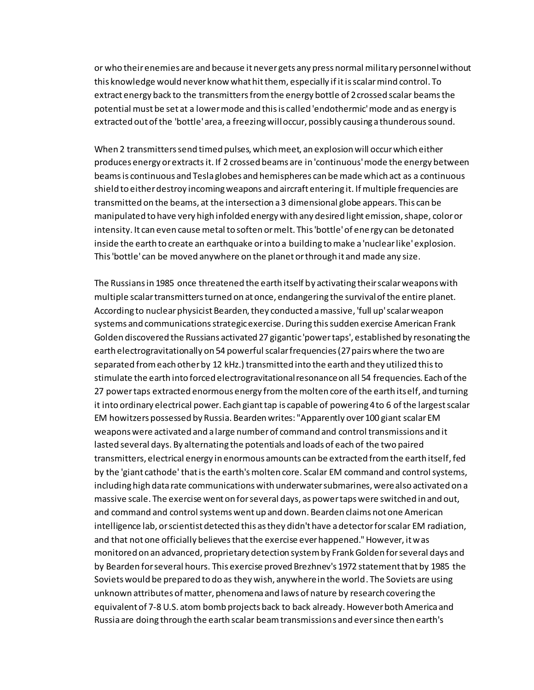or who their enemies are and because it never gets any press normal military personnel without this knowledge would never know what hit them, especially if it is scalar mind control. To extract energy back to the transmitters from the energy bottle of 2 crossed scalar beams the potential must be set at a lower mode and this is called 'endothermic' mode and as energy is extracted out of the 'bottle' area, a freezing will occur, possibly causing a thunderous sound.

When 2 transmitters send timed pulses, which meet, an explosion will occur which either produces energy or extracts it. If 2 crossed beams are in 'continuous' mode the energy between beams is continuous and Tesla globes and hemispheres can be made which act as a continuous shield to either destroy incoming weapons and aircraft entering it. If multiple frequencies are transmitted on the beams, at the intersection a 3 dimensional globe appears. This can be manipulated to have very high infolded energy with any desired light emission, shape, color or intensity. It can even cause metal to soften or melt. This 'bottle' of energy can be detonated inside the earth to create an earthquake or into a building to make a 'nuclear like' explosion. This 'bottle' can be moved anywhere on the planet or through it and made any size.

The Russians in 1985 once threatened the earth itself by activating their scalar weapons with multiple scalar transmitters turned on at once, endangering the survival of the entire planet. According to nuclear physicist Bearden, they conducted a massive, 'full up' scalar weapon systems and communications strategic exercise. During this sudden exercise American Frank Golden discovered the Russians activated 27 gigantic 'power taps', established by resonating the earth electrogravitationally on 54 powerful scalar frequencies (27 pairs where the two are separated from each other by 12 kHz.) transmitted into the earth and they utilized this to stimulate the earth into forced electrogravitational resonance on all 54 frequencies. Each of the 27 power taps extracted enormous energy from the molten core of the earth itself, and turning it into ordinary electrical power. Each giant tap is capable of powering 4 to 6 of the largest scalar EM howitzers possessed by Russia. Bearden writes: "Apparently over 100 giant scalar EM weapons were activated and a large number of command and control transmissions and it lasted several days. By alternating the potentials and loads of each of the two paired transmitters, electrical energy in enormous amounts can be extracted from the earth itself, fed by the 'giant cathode' that is the earth's molten core. Scalar EM command and control systems, including high data rate communications with underwater submarines, were also activated on a massive scale. The exercise went on for several days, as power taps were switched in and out, and command and control systems went up and down. Bearden claims not one American intelligence lab, or scientist detected this as they didn't have a detector for scalar EM radiation, and that not one officially believes that the exercise ever happened." However, it was monitored on an advanced, proprietary detection system by Frank Golden for several days and by Bearden for several hours. This exercise proved Brezhnev's 1972 statement that by 1985 the Soviets would be prepared to do as they wish, anywhere in the world. The Soviets are using unknown attributes of matter, phenomena and laws of nature by research covering the equivalent of 7-8 U.S. atom bomb projects back to back already. However both America and Russia are doing through the earth scalar beam transmissions and ever since then earth's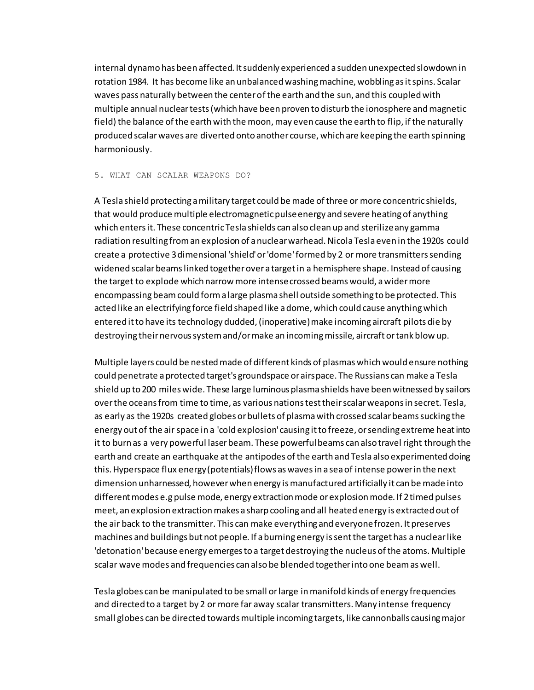internal dynamo has been affected. It suddenly experienced a sudden unexpected slowdown in rotation 1984. It has become like an unbalanced washing machine, wobbling as it spins. Scalar waves pass naturally between the center of the earth and the sun, and this coupled with multiple annual nuclear tests (which have been proven to disturb the ionosphere and magnetic field) the balance of the earth with the moon, may even cause the earth to flip, if the naturally produced scalar waves are diverted onto another course, which are keeping the earth spinning harmoniously.

#### 5. WHAT CAN SCALAR WEAPONS DO?

A Tesla shield protecting a military target could be made of three or more concentric shields, that would produce multiple electromagnetic pulse energy and severe heating of anything which enters it. These concentric Tesla shields can also clean up and sterilize any gamma radiation resulting from an explosion of a nuclear warhead. Nicola Tesla even in the 1920s could create a protective 3 dimensional 'shield' or 'dome' formed by 2 or more transmitters sending widened scalar beams linked together over a target in a hemisphere shape. Instead of causing the target to explode which narrow more intense crossed beams would, a wider more encompassing beam could form a large plasma shell outside something to be protected. This acted like an electrifying force field shaped like a dome, which could cause anything which entered it to have its technology dudded, (inoperative) make incoming aircraft pilots die by destroying their nervous system and/or make an incoming missile, aircraft or tank blow up.

Multiple layers could be nested made of different kinds of plasmas which would ensure nothing could penetrate a protected target's groundspace or airspace. The Russians can make a Tesla shield up to 200 miles wide. These large luminous plasma shields have been witnessed by sailors over the oceans from time to time, as various nations test their scalar weapons in secret. Tesla, as early as the 1920s created globes or bullets of plasma with crossed scalar beams sucking the energy out of the air space in a 'cold explosion' causing it to freeze, or sending extreme heat into it to burn as a very powerful laser beam. These powerful beams can also travel right through the earth and create an earthquake at the antipodes of the earth and Tesla also experimented doing this. Hyperspace flux energy (potentials) flows as waves in a sea of intense power in the next dimension unharnessed, however when energy is manufactured artificially it can be made into different modes e.g pulse mode, energy extraction mode or explosion mode. If 2 timed pulses meet, an explosion extraction makes a sharp cooling and all heated energy is extracted out of the air back to the transmitter. This can make everything and everyone frozen. It preserves machines and buildings but not people. If a burning energy is sent the target has a nuclear like 'detonation' because energy emerges to a target destroying the nucleus of the atoms. Multiple scalar wave modes and frequencies can also be blended together into one beam as well.

Tesla globes can be manipulated to be small or large in manifold kinds of energy frequencies and directed to a target by 2 or more far away scalar transmitters. Many intense frequency small globes can be directed towards multiple incoming targets, like cannonballs causing major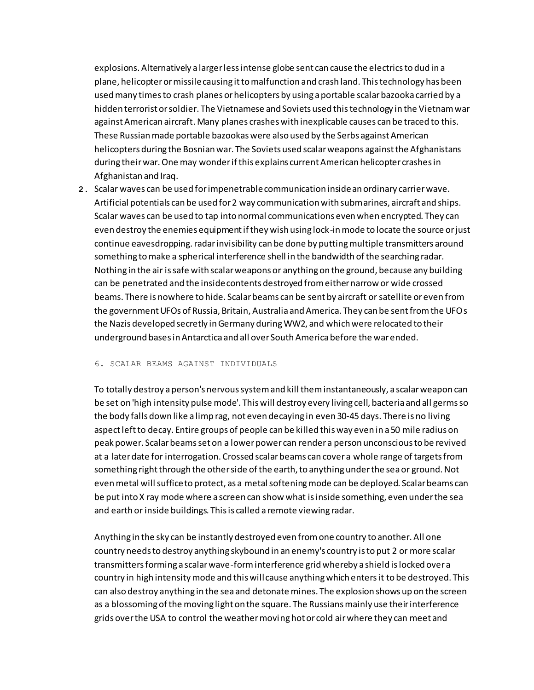explosions. Alternatively a larger less intense globe sent can cause the electrics to dud in a plane, helicopter or missile causing it to malfunction and crash land. This technology has been used many times to crash planes or helicopters by using a portable scalar bazooka carried by a hidden terrorist or soldier. The Vietnamese and Soviets used this technology in the Vietnam war against American aircraft. Many planes crashes with inexplicable causes can be traced to this. These Russian made portable bazookas were also used by the Serbs against American helicopters during the Bosnian war. The Soviets used scalar weapons against the Afghanistans during their war. One may wonder if this explains current American helicopter crashes in Afghanistan and Iraq.

**2.** Scalar waves can be used for impenetrable communication inside an ordinary carrier wave. Artificial potentials can be used for 2 way communication with submarines, aircraft and ships. Scalar waves can be used to tap into normal communications even when encrypted. They can even destroy the enemies equipment if they wish using lock-in mode to locate the source or just continue eavesdropping. radar invisibility can be done by putting multiple transmitters around something to make a spherical interference shell in the bandwidth of the searching radar. Nothing in the air is safe with scalar weapons or anything on the ground, because any building can be penetrated and the inside contents destroyed from either narrow or wide crossed beams. There is nowhere to hide. Scalar beams can be sent by aircraft or satellite or even from the government UFOs of Russia, Britain, Australia and America. They can be sent from the UFOs the Nazis developed secretly in Germany during WW2, and which were relocated to their underground bases in Antarctica and all over South America before the war ended.

## 6. SCALAR BEAMS AGAINST INDIVIDUALS

To totally destroy a person's nervous system and kill them instantaneously, a scalar weapon can be set on 'high intensity pulse mode'. This will destroy every living cell, bacteria and all germs so the body falls down like a limp rag, not even decaying in even 30-45 days. There is no living aspect left to decay. Entire groups of people can be killed this way even in a 50 mile radius on peak power. Scalar beams set on a lower power can render a person unconscious to be revived at a later date for interrogation. Crossed scalar beams can cover a whole range of targets from something right through the other side of the earth, to anything under the sea or ground. Not even metal will suffice to protect, as a metal softening mode can be deployed. Scalar beams can be put into X ray mode where a screen can show what is inside something, even under the sea and earth or inside buildings. This is called a remote viewing radar.

Anything in the sky can be instantly destroyed even from one country to another. All one country needs to destroy anything skybound in an enemy's country is to put 2 or more scalar transmitters forming a scalar wave-form interference grid whereby a shield is locked over a country in high intensity mode and this will cause anything which enters it to be destroyed. This can also destroy anything in the sea and detonate mines. The explosion shows up on the screen as a blossoming of the moving light on the square. The Russians mainly use their interference grids over the USA to control the weather moving hot or cold air where they can meet and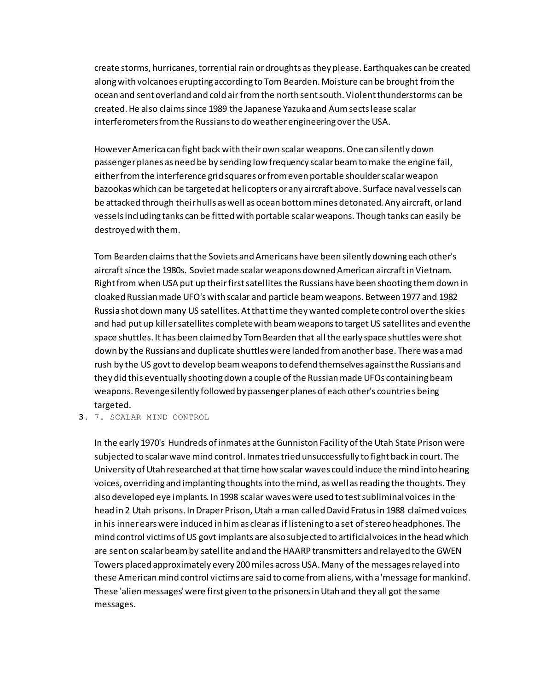create storms, hurricanes, torrential rain or droughts as they please. Earthquakes can be created along with volcanoes erupting according to Tom Bearden. Moisture can be brought from the ocean and sent overland and cold air from the north sent south. Violent thunderstorms can be created. He also claims since 1989 the Japanese Yazuka and Aum sects lease scalar interferometers from the Russians to do weather engineering over the USA.

However America can fight back with their own scalar weapons. One can silently down passenger planes as need be by sending low frequency scalar beam to make the engine fail, either from the interference grid squares or from even portable shoulder scalar weapon bazookas which can be targeted at helicopters or any aircraft above. Surface naval vessels can be attacked through their hulls as well as ocean bottom mines detonated. Any aircraft, or land vessels including tanks can be fitted with portable scalar weapons. Though tanks can easily be destroyed with them.

Tom Bearden claims that the Soviets and Americans have been silently downing each other's aircraft since the 1980s. Soviet made scalar weapons downed American aircraft in Vietnam. Right from when USA put up their first satellites the Russians have been shooting them down in cloaked Russian made UFO's with scalar and particle beam weapons. Between 1977 and 1982 Russia shot down many US satellites. At that time they wanted complete control over the skies and had put up killer satellites complete with beam weapons to target US satellites and even the space shuttles. It has been claimed by Tom Bearden that all the early space shuttles were shot down by the Russians and duplicate shuttles were landed from another base. There was a mad rush by the US govt to develop beam weapons to defend themselves against the Russians and they did this eventually shooting down a couple of the Russian made UFOs containing beam weapons. Revenge silently followed by passenger planes of each other's countrie s being targeted.

**3.** 7. SCALAR MIND CONTROL

In the early 1970's Hundreds of inmates at the Gunniston Facility of the Utah State Prison were subjected to scalar wave mind control. Inmates tried unsuccessfully to fight back in court. The University of Utah researched at that time how scalar waves could induce the mind into hearing voices, overriding and implanting thoughts into the mind, as well as reading the thoughts. They also developed eye implants. In 1998 scalar waves were used to test subliminal voices in the head in 2 Utah prisons. In Draper Prison, Utah a man called David Fratus in 1988 claimed voices in his inner ears were induced in him as clear as if listening to a set of stereo headphones. The mind control victims of US govt implants are also subjected to artificial voices in the head which are sent on scalar beam by satellite and and the HAARP transmitters and relayed to the GWEN Towers placed approximately every 200 miles across USA. Many of the messages relayed into these American mind control victims are said to come from aliens, with a 'message for mankind'. These 'alien messages' were first given to the prisoners in Utah and they all got the same messages.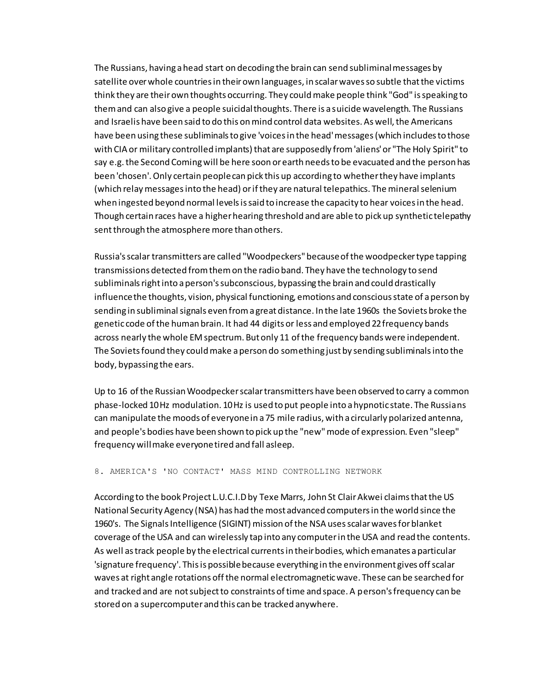The Russians, having a head start on decoding the brain can send subliminal messages by satellite over whole countries in their own languages, in scalar waves so subtle that the victims think they are their own thoughts occurring. They could make people think "God" is speaking to them and can also give a people suicidal thoughts. There is a suicide wavelength. The Russians and Israelis have been said to do this on mind control data websites. As well, the Americans have been using these subliminals to give 'voices in the head' messages (which includes to those with CIA or military controlled implants) that are supposedly from 'aliens' or "The Holy Spirit" to say e.g. the Second Coming will be here soon or earth needs to be evacuated and the person has been 'chosen'. Only certain people can pick this up according to whether they have implants (which relay messages into the head) or if they are natural telepathics. The mineral selenium when ingested beyond normal levels is said to increase the capacity to hear voices in the head. Though certain races have a higher hearing threshold and are able to pick up synthetic telepathy sent through the atmosphere more than others.

Russia's scalar transmitters are called "Woodpeckers" because of the woodpecker type tapping transmissions detected from them on the radio band. They have the technology to send subliminals right into a person's subconscious, bypassing the brain and could drastically influence the thoughts, vision, physical functioning, emotions and conscious state of a person by sending in subliminal signals even from a great distance. In the late 1960s the Soviets broke the genetic code of the human brain. It had 44 digits or less and employed 22 frequency bands across nearly the whole EM spectrum. But only 11 of the frequency bands were independent. The Soviets found they could make a person do something just by sending subliminals into the body, bypassing the ears.

Up to 16 of the Russian Woodpecker scalar transmitters have been observed to carry a common phase-locked 10 Hz modulation. 10 Hz is used to put people into a hypnotic state. The Russians can manipulate the moods of everyone in a 75 mile radius, with a circularly polarized antenna, and people's bodies have been shown to pick up the "new" mode of expression. Even "sleep" frequency will make everyone tired and fall asleep.

8. AMERICA'S 'NO CONTACT' MASS MIND CONTROLLING NETWORK

According to the book Project L.U.C.I.D by Texe Marrs, John St Clair Akwei claims that the US National Security Agency (NSA) has had the most advanced computers in the world since the 1960's. The Signals Intelligence (SIGINT) mission of the NSA uses scalar waves for blanket coverage of the USA and can wirelessly tap into any computer in the USA and read the contents. As well as track people by the electrical currents in their bodies, which emanates a particular 'signature frequency'. This is possible because everything in the environment gives off scalar waves at right angle rotations off the normal electromagnetic wave. These can be searched for and tracked and are not subject to constraints of time and space. A person's frequency can be stored on a supercomputer and this can be tracked anywhere.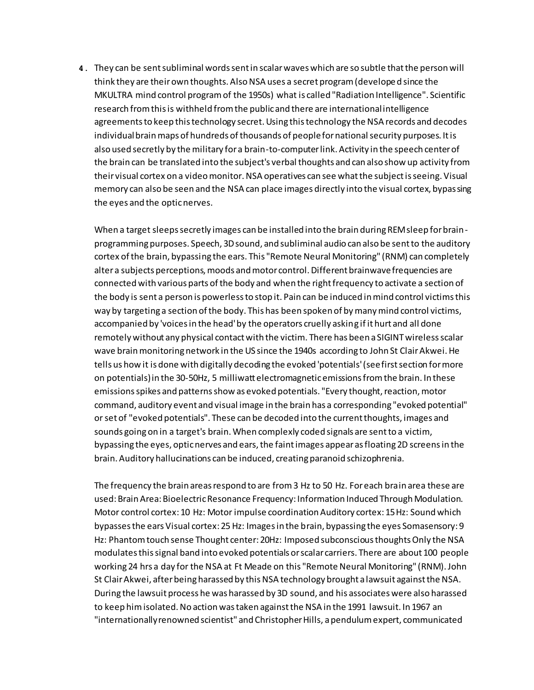**4.** They can be sent subliminal words sent in scalar waves which are so subtle that the person will think they are their own thoughts. Also NSA uses a secret program (developed since the MKULTRA mind control program of the 1950s) what is called "Radiation Intelligence". Scientific research from this is withheld from the public and there are international intelligence agreements to keep this technology secret. Using this technology the NSA records and decodes individual brain maps of hundreds of thousands of people for national security purposes. It is also used secretly by the military for a brain-to-computer link. Activity in the speech center of the brain can be translated into the subject's verbal thoughts and can also show up activity from their visual cortex on a video monitor. NSA operatives can see what the subject is seeing. Visual memory can also be seen and the NSA can place images directly into the visual cortex, bypassing the eyes and the optic nerves.

When a target sleeps secretly images can be installed into the brain during REM sleep for brainprogramming purposes. Speech, 3D sound, and subliminal audio can also be sent to the auditory cortex of the brain, bypassing the ears. This "Remote Neural Monitoring" (RNM) can completely alter a subjects perceptions, moods and motor control. Different brainwave frequencies are connected with various parts of the body and when the right frequency to activate a section of the body is sent a person is powerless to stop it. Pain can be induced in mind control victims this way by targeting a section of the body. This has been spoken of by many mind control victims, accompanied by 'voices in the head' by the operators cruelly asking if it hurt and all done remotely without any physical contact with the victim. There has been a SIGINT wireless scalar wave brain monitoring network in the US since the 1940s according to John St Clair Akwei. He tells us how it is done with digitally decoding the evoked 'potentials' (see first section for more on potentials) in the 30-50Hz, 5 milliwatt electromagnetic emissions from the brain. In these emissions spikes and patterns show as evoked potentials. "Every thought, reaction, motor command, auditory event and visual image in the brain has a corresponding "evoked potential" or set of "evoked potentials". These can be decoded into the current thoughts, images and sounds going on in a target's brain. When complexly coded signals are sent to a victim, bypassing the eyes, optic nerves and ears, the faint images appear as floating 2D screens in the brain. Auditory hallucinations can be induced, creating paranoid schizophrenia.

The frequency the brain areas respond to are from 3 Hz to 50 Hz. For each brain area these are used: Brain Area: Bioelectric Resonance Frequency: Information Induced Through Modulation. Motor control cortex: 10 Hz: Motor impulse coordination Auditory cortex: 15 Hz: Sound which bypasses the ears Visual cortex: 25 Hz: Images in the brain, bypassing the eyes Somasensory: 9 Hz: Phantom touch sense Thought center: 20Hz: Imposed subconscious thoughts Only the NSA modulates this signal band into evoked potentials or scalar carriers. There are about 100 people working 24 hrs a day for the NSA at Ft Meade on this "Remote Neural Monitoring" (RNM). John St Clair Akwei, after being harassed by this NSA technology brought a lawsuit against the NSA. During the lawsuit process he was harassed by 3D sound, and his associates were also harassed to keep him isolated. No action was taken against the NSA in the 1991 lawsuit. In 1967 an "internationally renowned scientist" and Christopher Hills, a pendulum expert, communicated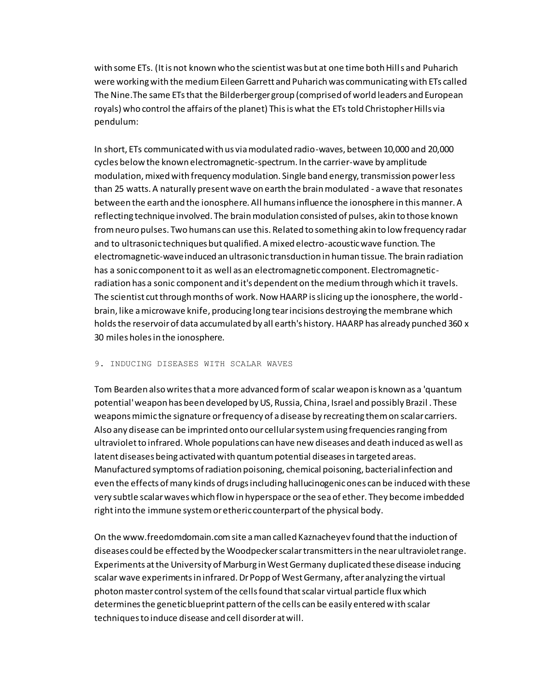with some ETs. (It is not known who the scientist was but at one time both Hills and Puharich were working with the medium Eileen Garrett and Puharich was communicating with ETs called The Nine.The same ETs that the Bilderberger group (comprised of world leaders and European royals) who control the affairs of the planet) This is what the ETs told Christopher Hills via pendulum:

In short, ETs communicated with us via modulated radio-waves, between 10,000 and 20,000 cycles below the known electromagnetic-spectrum. In the carrier-wave by amplitude modulation, mixed with frequency modulation. Single band energy, transmission power less than 25 watts. A naturally present wave on earth the brain modulated - a wave that resonates between the earth and the ionosphere. All humans influence the ionosphere in this manner. A reflecting technique involved. The brain modulation consisted of pulses, akin to those known from neuro pulses. Two humans can use this. Related to something akin to low frequency radar and to ultrasonic techniques but qualified. A mixed electro-acoustic wave function. The electromagnetic-wave induced an ultrasonic transduction in human tissue. The brain radiation has a sonic component to it as well as an electromagnetic component. Electromagneticradiation has a sonic component and it's dependent on the medium through which it travels. The scientist cut through months of work. Now HAARP is slicing up the ionosphere, the worldbrain, like a microwave knife, producing long tear incisions destroying the membrane which holds the reservoir of data accumulated by all earth's history. HAARP has already punched 360 x 30 miles holes in the ionosphere.

## 9. INDUCING DISEASES WITH SCALAR WAVES

Tom Bearden also writes that a more advanced form of scalar weapon is known as a 'quantum potential' weapon has been developed by US, Russia, China, Israel and possibly Brazil . These weapons mimic the signature or frequency of a disease by recreating them on scalar carriers. Also any disease can be imprinted onto our cellular system using frequencies ranging from ultraviolet to infrared. Whole populations can have new diseases and death induced as well as latent diseases being activated with quantum potential diseases in targeted areas. Manufactured symptoms of radiation poisoning, chemical poisoning, bacterial infection and even the effects of many kinds of drugs including hallucinogenic ones can be induced with these very subtle scalar waves which flow in hyperspace or the sea of ether. They become imbedded right into the immune system or etheric counterpart of the physical body.

On the www.freedomdomain.com site a man called Kaznacheyev found that the induction of diseases could be effected by the Woodpecker scalar transmitters in the near ultraviolet range. Experiments at the University of Marburg in West Germany duplicated these disease inducing scalar wave experiments in infrared. Dr Popp of West Germany, after analyzing the virtual photon master control system of the cells found that scalar virtual particle flux which determines the genetic blueprint pattern of the cells can be easily entered with scalar techniques to induce disease and cell disorder at will.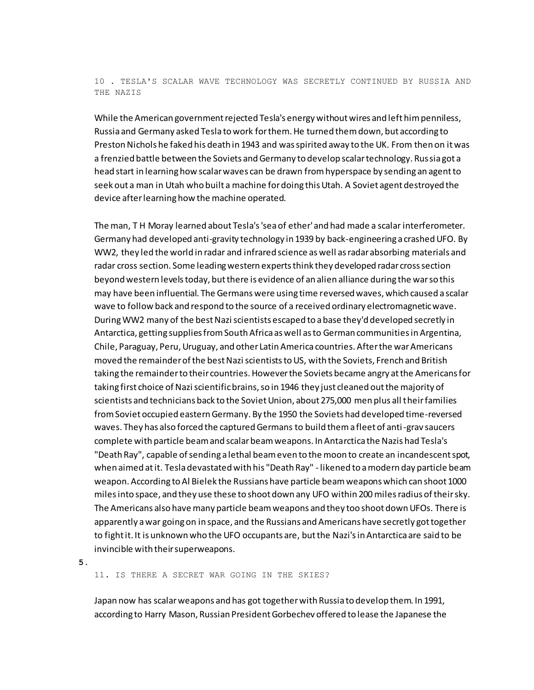# 10 . TESLA'S SCALAR WAVE TECHNOLOGY WAS SECRETLY CONTINUED BY RUSSIA AND THE NAZIS

While the American government rejected Tesla's energy without wires and left him penniless, Russia and Germany asked Tesla to work for them. He turned them down, but according to Preston Nichols he faked his death in 1943 and was spirited away to the UK. From then on it was a frenzied battle between the Soviets and Germany to develop scalar technology. Russia got a head start in learning how scalar waves can be drawn from hyperspace by sending an agent to seek out a man in Utah who built a machine for doing this Utah. A Soviet agent destroyed the device after learning how the machine operated.

The man, T H Moray learned about Tesla's 'sea of ether' and had made a scalar interferometer. Germany had developed anti-gravity technology in 1939 by back-engineering a crashed UFO. By WW2, they led the world in radar and infrared science as well as radar absorbing materials and radar cross section. Some leading western experts think they developed radar cross section beyond western levels today, but there is evidence of an alien alliance during the war so this may have been influential. The Germans were using time reversed waves, which caused a scalar wave to follow back and respond to the source of a received ordinary electromagnetic wave. During WW2 many of the best Nazi scientists escaped to a base they'd developed secretly in Antarctica, getting supplies from South Africa as well as to German communities in Argentina, Chile, Paraguay, Peru, Uruguay, and other Latin America countries. After the war Americans moved the remainder of the best Nazi scientists to US, with the Soviets, French and British taking the remainder to their countries. However the Soviets became angry at the Americans for taking first choice of Nazi scientific brains, so in 1946 they just cleaned out the majority of scientists and technicians back to the Soviet Union, about 275,000 men plus all their families from Soviet occupied eastern Germany. By the 1950 the Soviets had developed time-reversed waves. They has also forced the captured Germans to build them a fleet of anti-grav saucers complete with particle beam and scalar beam weapons. In Antarctica the Nazis had Tesla's "Death Ray", capable of sending a lethal beam even to the moon to create an incandescent spot, when aimed at it. Tesla devastated with his "Death Ray" - likened to a modern day particle beam weapon. According to Al Bielek the Russians have particle beam weapons which can shoot 1000 miles into space, and they use these to shoot down any UFO within 200 miles radius of their sky. The Americans also have many particle beam weapons and they too shoot down UFOs. There is apparently a war going on in space, and the Russians and Americans have secretly got together to fight it. It is unknown who the UFO occupants are, but the Nazi's in Antarctica are said to be invincible with their superweapons.

**5.**

11. IS THERE A SECRET WAR GOING IN THE SKIES?

Japan now has scalar weapons and has got together with Russia to develop them. In 1991, according to Harry Mason, Russian President Gorbechev offered to lease the Japanese the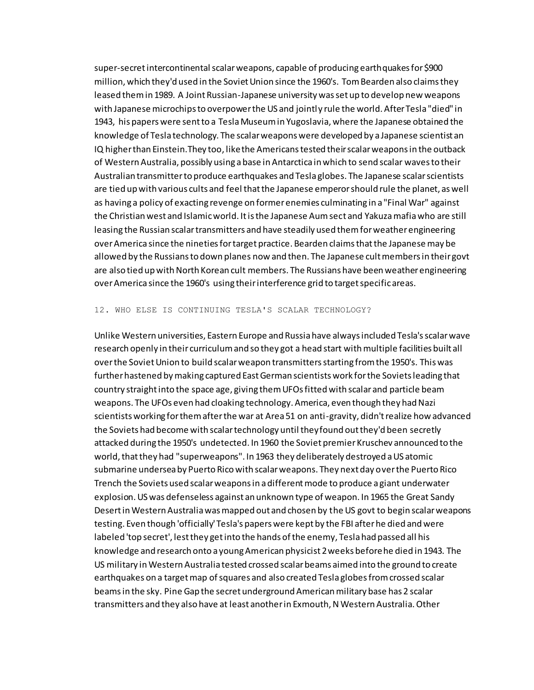super-secret intercontinental scalar weapons, capable of producing earthquakes for \$900 million, which they'd used in the Soviet Union since the 1960's. Tom Bearden also claims they leased them in 1989. A Joint Russian-Japanese university was set up to develop new weapons with Japanese microchips to overpower the US and jointly rule the world. After Tesla "died" in 1943, his papers were sent to a Tesla Museum in Yugoslavia, where the Japanese obtained the knowledge of Tesla technology. The scalar weapons were developed by a Japanese scientist an IQ higher than Einstein.They too, like the Americans tested their scalar weapons in the outback of Western Australia, possibly using a base in Antarctica in which to send scalar waves to their Australian transmitter to produce earthquakes and Tesla globes. The Japanese scalar scientists are tied up with various cults and feel that the Japanese emperor should rule the planet, as well as having a policy of exacting revenge on former enemies culminating in a "Final War" against the Christian west and Islamic world. It is the Japanese Aum sect and Yakuza mafia who are still leasing the Russian scalar transmitters and have steadily used them for weather engineering over America since the nineties for target practice. Bearden claims that the Japanese may be allowed by the Russians to down planes now and then. The Japanese cult members in their govt are also tied up with North Korean cult members. The Russians have been weather engineering over America since the 1960's using their interference grid to target specific areas.

#### 12. WHO ELSE IS CONTINUING TESLA'S SCALAR TECHNOLOGY?

Unlike Western universities, Eastern Europe and Russia have always included Tesla's scalar wave research openly in their curriculum and so they got a head start with multiple facilities built all over the Soviet Union to build scalar weapon transmitters starting from the 1950's. This was further hastened by making captured East German scientists work for the Soviets leading that country straight into the space age, giving them UFOs fitted with scalar and particle beam weapons. The UFOs even had cloaking technology. America, even though they had Nazi scientists working for them after the war at Area 51 on anti-gravity, didn't realize how advanced the Soviets had become with scalar technology until they found out they'd been secretly attacked during the 1950's undetected. In 1960 the Soviet premier Kruschev announced to the world, that they had "superweapons". In 1963 they deliberately destroyed a US atomic submarine undersea by Puerto Rico with scalar weapons. They next day over the Puerto Rico Trench the Soviets used scalar weapons in a different mode to produce a giant underwater explosion. US was defenseless against an unknown type of weapon. In 1965 the Great Sandy Desert in Western Australia was mapped out and chosen by the US govt to begin scalar weapons testing. Even though 'officially' Tesla's papers were kept by the FBI after he died and were labeled 'top secret', lest they get into the hands of the enemy, Tesla had passed all his knowledge and research onto a young American physicist 2 weeks before he died in 1943. The US military in Western Australia tested crossed scalar beams aimed into the ground to create earthquakes on a target map of squares and also created Tesla globes from crossed scalar beams in the sky. Pine Gap the secret underground American military base has 2 scalar transmitters and they also have at least another in Exmouth, N Western Australia. Other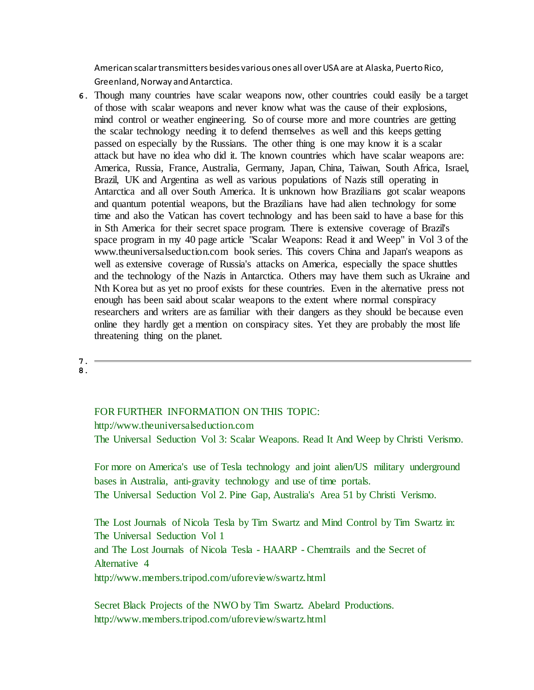American scalar transmitters besides various ones all over USA are at Alaska, Puerto Rico, Greenland, Norway and Antarctica.

- **6.** Though many countries have scalar weapons now, other countries could easily be a target of those with scalar weapons and never know what was the cause of their explosions, mind control or weather engineering. So of course more and more countries are getting the scalar technology needing it to defend themselves as well and this keeps getting passed on especially by the Russians. The other thing is one may know it is a scalar attack but have no idea who did it. The known countries which have scalar weapons are: America, Russia, France, Australia, Germany, Japan, China, Taiwan, South Africa, Israel, Brazil, UK and Argentina as well as various populations of Nazis still operating in Antarctica and all over South America. It is unknown how Brazilians got scalar weapons and quantum potential weapons, but the Brazilians have had alien technology for some time and also the Vatican has covert technology and has been said to have a base for this in Sth America for their secret space program. There is extensive coverage of Brazil's space program in my 40 page article "Scalar Weapons: Read it and Weep" in Vol 3 of the www.theuniversalseduction.com book series. This covers China and Japan's weapons as well as extensive coverage of Russia's attacks on America, especially the space shuttles and the technology of the Nazis in Antarctica. Others may have them such as Ukraine and Nth Korea but as yet no proof exists for these countries. Even in the alternative press not enough has been said about scalar weapons to the extent where normal conspiracy researchers and writers are as familiar with their dangers as they should be because even online they hardly get a mention on conspiracy sites. Yet they are probably the most life threatening thing on the planet.
- **7. 8.**

# FOR FURTHER INFORMATION ON THIS TOPIC:

http://www.theuniversalseduction.com

The Universal Seduction Vol 3: Scalar Weapons. Read It And Weep by Christi Verismo.

For more on America's use of Tesla technology and joint alien/US military underground bases in Australia, anti-gravity technology and use of time portals. The Universal Seduction Vol 2. Pine Gap, Australia's Area 51 by Christi Verismo.

The Lost Journals of Nicola Tesla by Tim Swartz and Mind Control by Tim Swartz in: The Universal Seduction Vol 1 and The Lost Journals of Nicola Tesla - HAARP - Chemtrails and the Secret of Alternative 4 http://www.members.tripod.com/uforeview/swartz.html

Secret Black Projects of the NWO by Tim Swartz. Abelard Productions. http://www.members.tripod.com/uforeview/swartz.html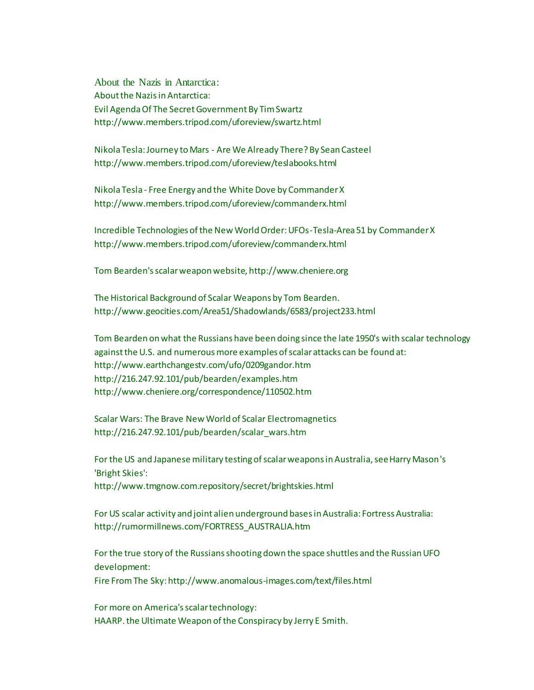About the Nazis in Antarctica: About the Nazis in Antarctica: Evil Agenda Of The Secret Government By Tim Swartz http://www.members.tripod.com/uforeview/swartz.html

Nikola Tesla: Journey to Mars - Are We Already There? By Sean Casteel http://www.members.tripod.com/uforeview/teslabooks.html

Nikola Tesla - Free Energy and the White Dove by Commander X http://www.members.tripod.com/uforeview/commanderx.html

Incredible Technologies of the New World Order: UFOs-Tesla-Area 51 by Commander X http://www.members.tripod.com/uforeview/commanderx.html

Tom Bearden's scalar weapon website, http://www.cheniere.org

The Historical Background of Scalar Weapons by Tom Bearden. http://www.geocities.com/Area51/Shadowlands/6583/project233.html

Tom Bearden on what the Russians have been doing since the late 1950's with scalar technology against the U.S. and numerous more examples of scalar attacks can be found at: http://www.earthchangestv.com/ufo/0209gandor.htm http://216.247.92.101/pub/bearden/examples.htm http://www.cheniere.org/correspondence/110502.htm

Scalar Wars: The Brave New World of Scalar Electromagnetics http://216.247.92.101/pub/bearden/scalar\_wars.htm

For the US and Japanese military testing of scalar weapons in Australia, see Harry Mason's 'Bright Skies': http://www.tmgnow.com.repository/secret/brightskies.html

For US scalar activity and joint alien underground bases in Australia: Fortress Australia: http://rumormillnews.com/FORTRESS\_AUSTRALIA.htm

For the true story of the Russians shooting down the space shuttles and the Russian UFO development:

Fire From The Sky: http://www.anomalous-images.com/text/files.html

For more on America's scalar technology: HAARP. the Ultimate Weapon of the Conspiracy by Jerry E Smith.